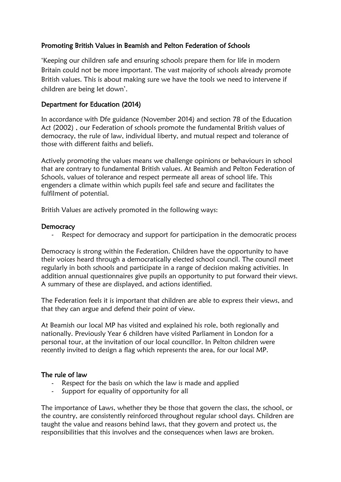# Promoting British Values in Beamish and Pelton Federation of Schools

'Keeping our children safe and ensuring schools prepare them for life in modern Britain could not be more important. The vast majority of schools already promote British values. This is about making sure we have the tools we need to intervene if children are being let down'.

## Department for Education (2014)

In accordance with Dfe guidance (November 2014) and section 78 of the Education Act (2002) , our Federation of schools promote the fundamental British values of democracy, the rule of law, individual liberty, and mutual respect and tolerance of those with different faiths and beliefs.

Actively promoting the values means we challenge opinions or behaviours in school that are contrary to fundamental British values. At Beamish and Pelton Federation of Schools, values of tolerance and respect permeate all areas of school life. This engenders a climate within which pupils feel safe and secure and facilitates the fulfilment of potential.

British Values are actively promoted in the following ways:

### **Democracy**

Respect for democracy and support for participation in the democratic process

Democracy is strong within the Federation. Children have the opportunity to have their voices heard through a democratically elected school council. The council meet regularly in both schools and participate in a range of decision making activities. In addition annual questionnaires give pupils an opportunity to put forward their views. A summary of these are displayed, and actions identified.

The Federation feels it is important that children are able to express their views, and that they can argue and defend their point of view.

At Beamish our local MP has visited and explained his role, both regionally and nationally. Previously Year 6 children have visited Parliament in London for a personal tour, at the invitation of our local councillor. In Pelton children were recently invited to design a flag which represents the area, for our local MP.

#### The rule of law

- Respect for the basis on which the law is made and applied
- Support for equality of opportunity for all

The importance of Laws, whether they be those that govern the class, the school, or the country, are consistently reinforced throughout regular school days. Children are taught the value and reasons behind laws, that they govern and protect us, the responsibilities that this involves and the consequences when laws are broken.